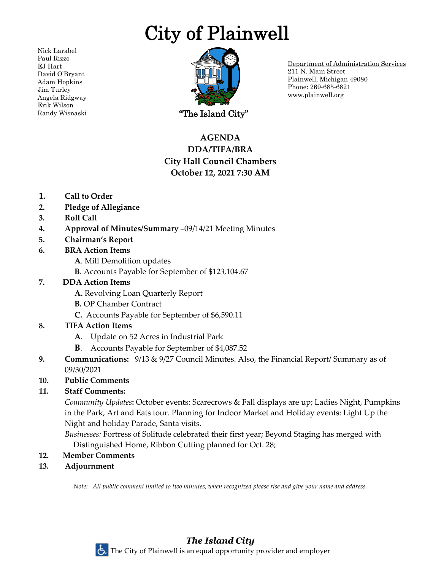# City of Plainwell

Nick Larabel Paul Rizzo EJ Hart David O'Bryant Adam Hopkins Jim Turley Angela Ridgway Erik Wilson



Department of Administration Services 211 N. Main Street Plainwell, Michigan 49080 Phone: 269-685-6821 www.plainwell.org

# **AGENDA DDA/TIFA/BRA City Hall Council Chambers October 12, 2021 7:30 AM**

- **1. Call to Order**
- **2. Pledge of Allegiance**
- **3. Roll Call**
- **4. Approval of Minutes/Summary –**09/14/21 Meeting Minutes
- **5. Chairman's Report**
- **6. BRA Action Items**
	- **A**. Mill Demolition updates
	- **B**. Accounts Payable for September of \$123,104.67

## **7. DDA Action Items**

- **A.** Revolving Loan Quarterly Report
- **B.** OP Chamber Contract
- **C.** Accounts Payable for September of \$6,590.11

# **8. TIFA Action Items**

- **A**. Update on 52 Acres in Industrial Park
- **B**. Accounts Payable for September of \$4,087.52
- **9. Communications:** 9/13 & 9/27 Council Minutes. Also, the Financial Report/ Summary as of 09/30/2021

# **10. Public Comments**

# **11. Staff Comments:**

*Community Updates***:** October events: Scarecrows & Fall displays are up; Ladies Night, Pumpkins in the Park, Art and Eats tour. Planning for Indoor Market and Holiday events: Light Up the Night and holiday Parade, Santa visits.

*Businesses:* Fortress of Solitude celebrated their first year; Beyond Staging has merged with Distinguished Home, Ribbon Cutting planned for Oct. 28;

- **12. Member Comments**
- **13. Adjournment**

*Note: All public comment limited to two minutes, when recognized please rise and give your name and address.*